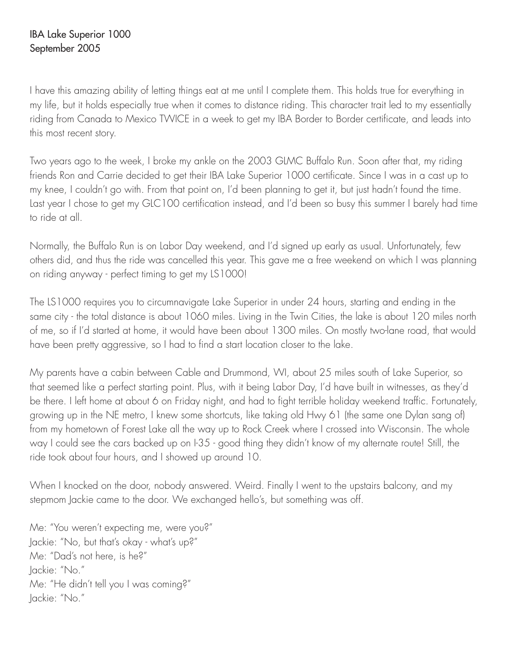## IBA Lake Superior 1000 September 2005

I have this amazing ability of letting things eat at me until I complete them. This holds true for everything in my life, but it holds especially true when it comes to distance riding. This character trait led to my essentially riding from Canada to Mexico TWICE in a week to get my IBA Border to Border certificate, and leads into this most recent story.

Two years ago to the week, I broke my ankle on the 2003 GLMC Buffalo Run. Soon after that, my riding friends Ron and Carrie decided to get their IBA Lake Superior 1000 certificate. Since I was in a cast up to my knee, I couldn't go with. From that point on, I'd been planning to get it, but just hadn't found the time. Last year I chose to get my GLC100 certification instead, and I'd been so busy this summer I barely had time to ride at all.

Normally, the Buffalo Run is on Labor Day weekend, and I'd signed up early as usual. Unfortunately, few others did, and thus the ride was cancelled this year. This gave me a free weekend on which I was planning on riding anyway - perfect timing to get my LS1000!

The LS1000 requires you to circumnavigate Lake Superior in under 24 hours, starting and ending in the same city - the total distance is about 1060 miles. Living in the Twin Cities, the lake is about 120 miles north of me, so if I'd started at home, it would have been about 1300 miles. On mostly two-lane road, that would have been pretty aggressive, so I had to find a start location closer to the lake.

My parents have a cabin between Cable and Drummond, WI, about 25 miles south of Lake Superior, so that seemed like a perfect starting point. Plus, with it being Labor Day, I'd have built in witnesses, as they'd be there. I left home at about 6 on Friday night, and had to fight terrible holiday weekend traffic. Fortunately, growing up in the NE metro, I knew some shortcuts, like taking old Hwy 61 (the same one Dylan sang of) from my hometown of Forest Lake all the way up to Rock Creek where I crossed into Wisconsin. The whole way I could see the cars backed up on I-35 - good thing they didn't know of my alternate route! Still, the ride took about four hours, and I showed up around 10.

When I knocked on the door, nobody answered. Weird. Finally I went to the upstairs balcony, and my stepmom Jackie came to the door. We exchanged hello's, but something was off.

Me: "You weren't expecting me, were you?" Jackie: "No, but that's okay - what's up?" Me: "Dad's not here, is he?" Jackie: "No." Me: "He didn't tell you I was coming?" Jackie: "No."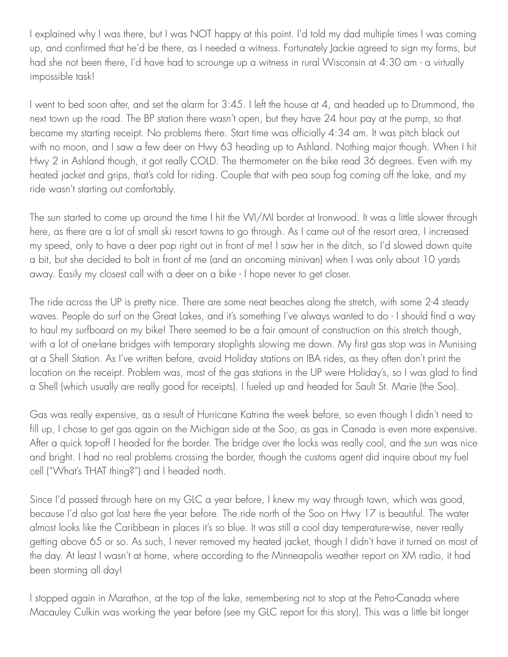I explained why I was there, but I was NOT happy at this point. I'd told my dad multiple times I was coming up, and confirmed that he'd be there, as I needed a witness. Fortunately Jackie agreed to sign my forms, but had she not been there, I'd have had to scrounge up a witness in rural Wisconsin at 4:30 am - a virtually impossible task!

I went to bed soon after, and set the alarm for 3:45. I left the house at 4, and headed up to Drummond, the next town up the road. The BP station there wasn't open, but they have 24 hour pay at the pump, so that became my starting receipt. No problems there. Start time was officially 4:34 am. It was pitch black out with no moon, and I saw a few deer on Hwy 63 heading up to Ashland. Nothing major though. When I hit Hwy 2 in Ashland though, it got really COLD. The thermometer on the bike read 36 degrees. Even with my heated jacket and grips, that's cold for riding. Couple that with pea soup fog coming off the lake, and my ride wasn't starting out comfortably.

The sun started to come up around the time I hit the WI/MI border at Ironwood. It was a little slower through here, as there are a lot of small ski resort towns to go through. As I came out of the resort area, I increased my speed, only to have a deer pop right out in front of me! I saw her in the ditch, so I'd slowed down quite a bit, but she decided to bolt in front of me (and an oncoming minivan) when I was only about 10 yards away. Easily my closest call with a deer on a bike - I hope never to get closer.

The ride across the UP is pretty nice. There are some neat beaches along the stretch, with some 2-4 steady waves. People do surf on the Great Lakes, and it's something I've always wanted to do - I should find a way to haul my surfboard on my bike! There seemed to be a fair amount of construction on this stretch though, with a lot of one-lane bridges with temporary stoplights slowing me down. My first gas stop was in Munising at a Shell Station. As I've written before, avoid Holiday stations on IBA rides, as they often don't print the location on the receipt. Problem was, most of the gas stations in the UP were Holiday's, so I was glad to find a Shell (which usually are really good for receipts). I fueled up and headed for Sault St. Marie (the Soo).

Gas was really expensive, as a result of Hurricane Katrina the week before, so even though I didn't need to fill up, I chose to get gas again on the Michigan side at the Soo, as gas in Canada is even more expensive. After a quick top-off I headed for the border. The bridge over the locks was really cool, and the sun was nice and bright. I had no real problems crossing the border, though the customs agent did inquire about my fuel cell ("What's THAT thing?") and I headed north.

Since I'd passed through here on my GLC a year before, I knew my way through town, which was good, because I'd also got lost here the year before. The ride north of the Soo on Hwy 17 is beautiful. The water almost looks like the Caribbean in places it's so blue. It was still a cool day temperature-wise, never really getting above 65 or so. As such, I never removed my heated jacket, though I didn't have it turned on most of the day. At least I wasn't at home, where according to the Minneapolis weather report on XM radio, it had been storming all day!

I stopped again in Marathon, at the top of the lake, remembering not to stop at the Petro-Canada where Macauley Culkin was working the year before (see my GLC report for this story). This was a little bit longer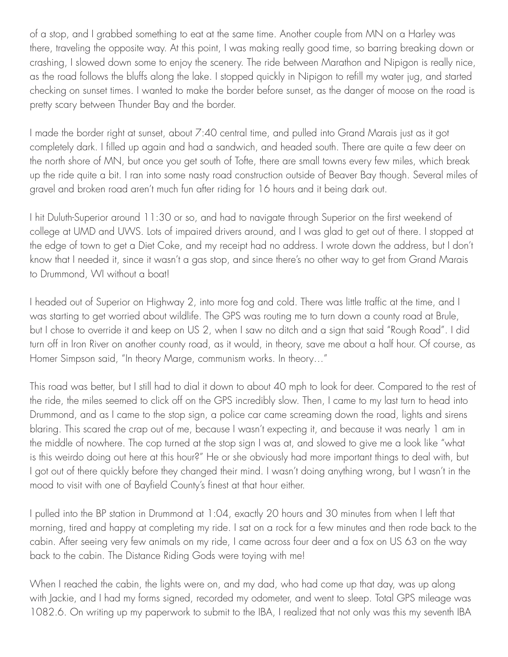of a stop, and I grabbed something to eat at the same time. Another couple from MN on a Harley was there, traveling the opposite way. At this point, I was making really good time, so barring breaking down or crashing, I slowed down some to enjoy the scenery. The ride between Marathon and Nipigon is really nice, as the road follows the bluffs along the lake. I stopped quickly in Nipigon to refill my water jug, and started checking on sunset times. I wanted to make the border before sunset, as the danger of moose on the road is pretty scary between Thunder Bay and the border.

I made the border right at sunset, about 7:40 central time, and pulled into Grand Marais just as it got completely dark. I filled up again and had a sandwich, and headed south. There are quite a few deer on the north shore of MN, but once you get south of Tofte, there are small towns every few miles, which break up the ride quite a bit. I ran into some nasty road construction outside of Beaver Bay though. Several miles of gravel and broken road aren't much fun after riding for 16 hours and it being dark out.

I hit Duluth-Superior around 11:30 or so, and had to navigate through Superior on the first weekend of college at UMD and UWS. Lots of impaired drivers around, and I was glad to get out of there. I stopped at the edge of town to get a Diet Coke, and my receipt had no address. I wrote down the address, but I don't know that I needed it, since it wasn't a gas stop, and since there's no other way to get from Grand Marais to Drummond, WI without a boat!

I headed out of Superior on Highway 2, into more fog and cold. There was little traffic at the time, and I was starting to get worried about wildlife. The GPS was routing me to turn down a county road at Brule, but I chose to override it and keep on US 2, when I saw no ditch and a sign that said "Rough Road". I did turn off in Iron River on another county road, as it would, in theory, save me about a half hour. Of course, as Homer Simpson said, "In theory Marge, communism works. In theory…"

This road was better, but I still had to dial it down to about 40 mph to look for deer. Compared to the rest of the ride, the miles seemed to click off on the GPS incredibly slow. Then, I came to my last turn to head into Drummond, and as I came to the stop sign, a police car came screaming down the road, lights and sirens blaring. This scared the crap out of me, because I wasn't expecting it, and because it was nearly 1 am in the middle of nowhere. The cop turned at the stop sign I was at, and slowed to give me a look like "what is this weirdo doing out here at this hour?" He or she obviously had more important things to deal with, but I got out of there quickly before they changed their mind. I wasn't doing anything wrong, but I wasn't in the mood to visit with one of Bayfield County's finest at that hour either.

I pulled into the BP station in Drummond at 1:04, exactly 20 hours and 30 minutes from when I left that morning, tired and happy at completing my ride. I sat on a rock for a few minutes and then rode back to the cabin. After seeing very few animals on my ride, I came across four deer and a fox on US 63 on the way back to the cabin. The Distance Riding Gods were toying with me!

When I reached the cabin, the lights were on, and my dad, who had come up that day, was up along with Jackie, and I had my forms signed, recorded my odometer, and went to sleep. Total GPS mileage was 1082.6. On writing up my paperwork to submit to the IBA, I realized that not only was this my seventh IBA